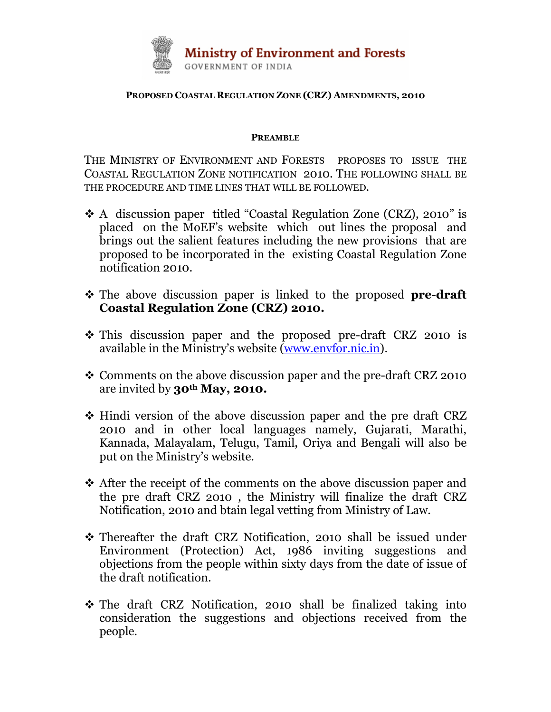

## PROPOSED COASTAL REGULATION ZONE (CRZ) AMENDMENTS, 2010

## PREAMBLE

THE MINISTRY OF ENVIRONMENT AND FORESTS PROPOSES TO ISSUE THE COASTAL REGULATION ZONE NOTIFICATION 2010. THE FOLLOWING SHALL BE THE PROCEDURE AND TIME LINES THAT WILL BE FOLLOWED.

- A discussion paper titled "Coastal Regulation Zone (CRZ), 2010" is placed on the MoEF's website which out lines the proposal and brings out the salient features including the new provisions that are proposed to be incorporated in the existing Coastal Regulation Zone notification 2010.
- The above discussion paper is linked to the proposed **pre-draft** Coastal Regulation Zone (CRZ) 2010.
- This discussion paper and the proposed pre-draft CRZ 2010 is available in the Ministry's website (www.envfor.nic.in).
- Comments on the above discussion paper and the pre-draft CRZ 2010 are invited by 30th May, 2010.
- ◆ Hindi version of the above discussion paper and the pre draft CRZ 2010 and in other local languages namely, Gujarati, Marathi, Kannada, Malayalam, Telugu, Tamil, Oriya and Bengali will also be put on the Ministry's website.
- ◆ After the receipt of the comments on the above discussion paper and the pre draft CRZ 2010 , the Ministry will finalize the draft CRZ Notification, 2010 and btain legal vetting from Ministry of Law.
- Thereafter the draft CRZ Notification, 2010 shall be issued under Environment (Protection) Act, 1986 inviting suggestions and objections from the people within sixty days from the date of issue of the draft notification.
- The draft CRZ Notification, 2010 shall be finalized taking into consideration the suggestions and objections received from the people.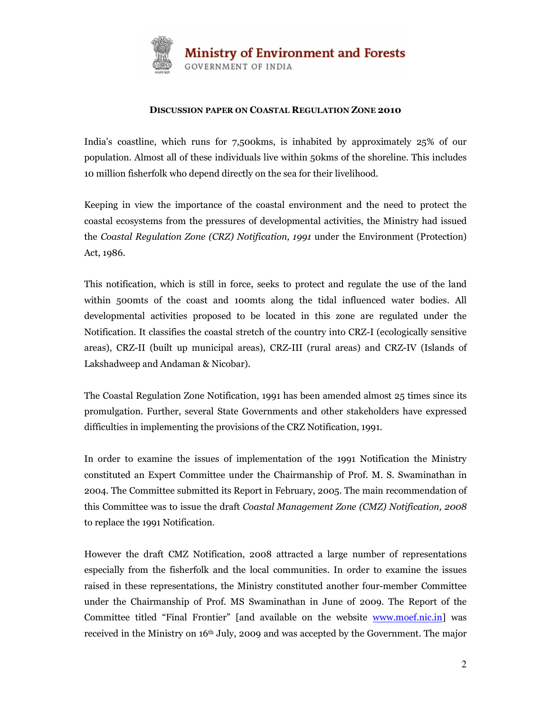

## DISCUSSION PAPER ON COASTAL REGULATION ZONE 2010

India's coastline, which runs for 7,500kms, is inhabited by approximately 25% of our population. Almost all of these individuals live within 50kms of the shoreline. This includes 10 million fisherfolk who depend directly on the sea for their livelihood.

Keeping in view the importance of the coastal environment and the need to protect the coastal ecosystems from the pressures of developmental activities, the Ministry had issued the Coastal Regulation Zone (CRZ) Notification, 1991 under the Environment (Protection) Act, 1986.

This notification, which is still in force, seeks to protect and regulate the use of the land within 500mts of the coast and 100mts along the tidal influenced water bodies. All developmental activities proposed to be located in this zone are regulated under the Notification. It classifies the coastal stretch of the country into CRZ-I (ecologically sensitive areas), CRZ-II (built up municipal areas), CRZ-III (rural areas) and CRZ-IV (Islands of Lakshadweep and Andaman & Nicobar).

The Coastal Regulation Zone Notification, 1991 has been amended almost 25 times since its promulgation. Further, several State Governments and other stakeholders have expressed difficulties in implementing the provisions of the CRZ Notification, 1991.

In order to examine the issues of implementation of the 1991 Notification the Ministry constituted an Expert Committee under the Chairmanship of Prof. M. S. Swaminathan in 2004. The Committee submitted its Report in February, 2005. The main recommendation of this Committee was to issue the draft Coastal Management Zone (CMZ) Notification, 2008 to replace the 1991 Notification.

However the draft CMZ Notification, 2008 attracted a large number of representations especially from the fisherfolk and the local communities. In order to examine the issues raised in these representations, the Ministry constituted another four-member Committee under the Chairmanship of Prof. MS Swaminathan in June of 2009. The Report of the Committee titled "Final Frontier" [and available on the website www.moef.nic.in] was received in the Ministry on 16<sup>th</sup> July, 2009 and was accepted by the Government. The major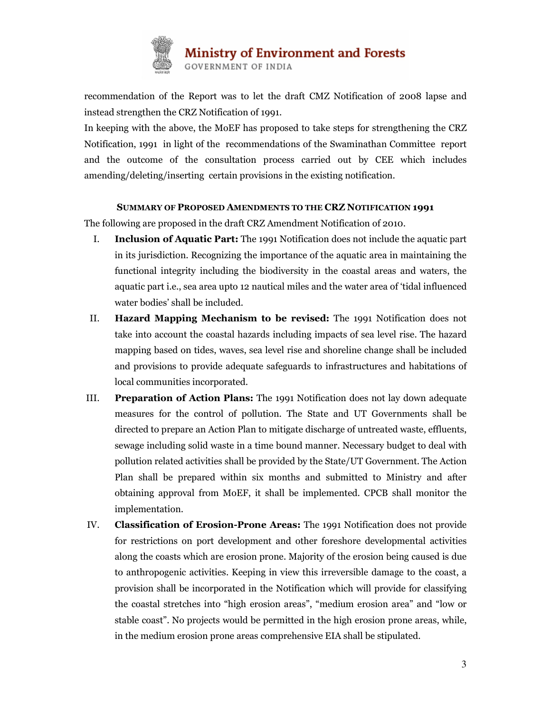

recommendation of the Report was to let the draft CMZ Notification of 2008 lapse and instead strengthen the CRZ Notification of 1991.

In keeping with the above, the MoEF has proposed to take steps for strengthening the CRZ Notification, 1991 in light of the recommendations of the Swaminathan Committee report and the outcome of the consultation process carried out by CEE which includes amending/deleting/inserting certain provisions in the existing notification.

## SUMMARY OF PROPOSED AMENDMENTS TO THE CRZ NOTIFICATION 1991

The following are proposed in the draft CRZ Amendment Notification of 2010.

- I. Inclusion of Aquatic Part: The 1991 Notification does not include the aquatic part in its jurisdiction. Recognizing the importance of the aquatic area in maintaining the functional integrity including the biodiversity in the coastal areas and waters, the aquatic part i.e., sea area upto 12 nautical miles and the water area of 'tidal influenced water bodies' shall be included.
- II. Hazard Mapping Mechanism to be revised: The 1991 Notification does not take into account the coastal hazards including impacts of sea level rise. The hazard mapping based on tides, waves, sea level rise and shoreline change shall be included and provisions to provide adequate safeguards to infrastructures and habitations of local communities incorporated.
- III. Preparation of Action Plans: The 1991 Notification does not lay down adequate measures for the control of pollution. The State and UT Governments shall be directed to prepare an Action Plan to mitigate discharge of untreated waste, effluents, sewage including solid waste in a time bound manner. Necessary budget to deal with pollution related activities shall be provided by the State/UT Government. The Action Plan shall be prepared within six months and submitted to Ministry and after obtaining approval from MoEF, it shall be implemented. CPCB shall monitor the implementation.
- IV. Classification of Erosion-Prone Areas: The 1991 Notification does not provide for restrictions on port development and other foreshore developmental activities along the coasts which are erosion prone. Majority of the erosion being caused is due to anthropogenic activities. Keeping in view this irreversible damage to the coast, a provision shall be incorporated in the Notification which will provide for classifying the coastal stretches into "high erosion areas", "medium erosion area" and "low or stable coast". No projects would be permitted in the high erosion prone areas, while, in the medium erosion prone areas comprehensive EIA shall be stipulated.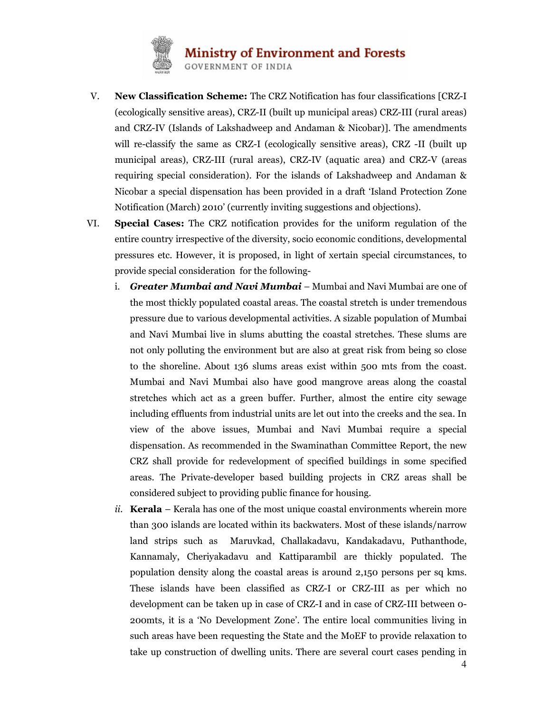

- V. New Classification Scheme: The CRZ Notification has four classifications [CRZ-I (ecologically sensitive areas), CRZ-II (built up municipal areas) CRZ-III (rural areas) and CRZ-IV (Islands of Lakshadweep and Andaman & Nicobar)]. The amendments will re-classify the same as CRZ-I (ecologically sensitive areas), CRZ -II (built up municipal areas), CRZ-III (rural areas), CRZ-IV (aquatic area) and CRZ-V (areas requiring special consideration). For the islands of Lakshadweep and Andaman & Nicobar a special dispensation has been provided in a draft 'Island Protection Zone Notification (March) 2010' (currently inviting suggestions and objections).
- VI. Special Cases: The CRZ notification provides for the uniform regulation of the entire country irrespective of the diversity, socio economic conditions, developmental pressures etc. However, it is proposed, in light of xertain special circumstances, to provide special consideration for the following
	- i. Greater Mumbai and Navi Mumbai Mumbai and Navi Mumbai are one of the most thickly populated coastal areas. The coastal stretch is under tremendous pressure due to various developmental activities. A sizable population of Mumbai and Navi Mumbai live in slums abutting the coastal stretches. These slums are not only polluting the environment but are also at great risk from being so close to the shoreline. About 136 slums areas exist within 500 mts from the coast. Mumbai and Navi Mumbai also have good mangrove areas along the coastal stretches which act as a green buffer. Further, almost the entire city sewage including effluents from industrial units are let out into the creeks and the sea. In view of the above issues, Mumbai and Navi Mumbai require a special dispensation. As recommended in the Swaminathan Committee Report, the new CRZ shall provide for redevelopment of specified buildings in some specified areas. The Private-developer based building projects in CRZ areas shall be considered subject to providing public finance for housing.
	- ii. **Kerala** Kerala has one of the most unique coastal environments wherein more than 300 islands are located within its backwaters. Most of these islands/narrow land strips such as Maruvkad, Challakadavu, Kandakadavu, Puthanthode, Kannamaly, Cheriyakadavu and Kattiparambil are thickly populated. The population density along the coastal areas is around 2,150 persons per sq kms. These islands have been classified as CRZ-I or CRZ-III as per which no development can be taken up in case of CRZ-I and in case of CRZ-III between 0- 200mts, it is a 'No Development Zone'. The entire local communities living in such areas have been requesting the State and the MoEF to provide relaxation to take up construction of dwelling units. There are several court cases pending in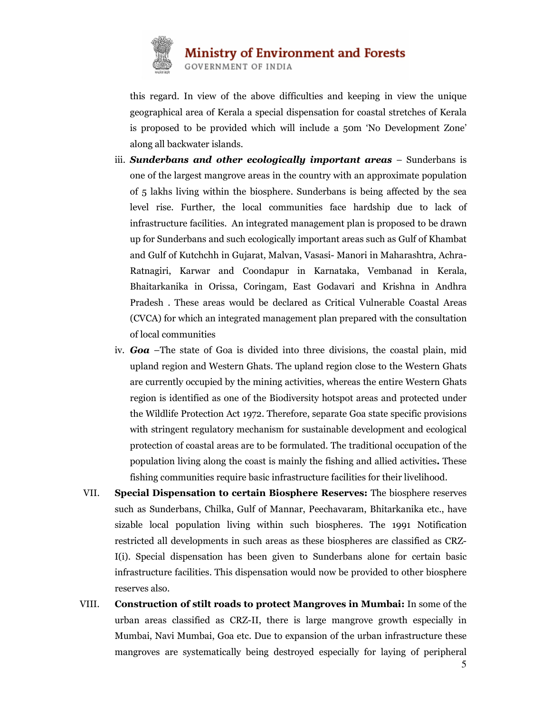

**Ministry of Environment and Forests** 

**GOVERNMENT OF INDIA** 

this regard. In view of the above difficulties and keeping in view the unique geographical area of Kerala a special dispensation for coastal stretches of Kerala is proposed to be provided which will include a 50m 'No Development Zone' along all backwater islands.

- iii. Sunderbans and other ecologically important areas  $-$  Sunderbans is one of the largest mangrove areas in the country with an approximate population of 5 lakhs living within the biosphere. Sunderbans is being affected by the sea level rise. Further, the local communities face hardship due to lack of infrastructure facilities. An integrated management plan is proposed to be drawn up for Sunderbans and such ecologically important areas such as Gulf of Khambat and Gulf of Kutchchh in Gujarat, Malvan, Vasasi- Manori in Maharashtra, Achra-Ratnagiri, Karwar and Coondapur in Karnataka, Vembanad in Kerala, Bhaitarkanika in Orissa, Coringam, East Godavari and Krishna in Andhra Pradesh . These areas would be declared as Critical Vulnerable Coastal Areas (CVCA) for which an integrated management plan prepared with the consultation of local communities
- iv. Goa –The state of Goa is divided into three divisions, the coastal plain, mid upland region and Western Ghats. The upland region close to the Western Ghats are currently occupied by the mining activities, whereas the entire Western Ghats region is identified as one of the Biodiversity hotspot areas and protected under the Wildlife Protection Act 1972. Therefore, separate Goa state specific provisions with stringent regulatory mechanism for sustainable development and ecological protection of coastal areas are to be formulated. The traditional occupation of the population living along the coast is mainly the fishing and allied activities. These fishing communities require basic infrastructure facilities for their livelihood.
- VII. Special Dispensation to certain Biosphere Reserves: The biosphere reserves such as Sunderbans, Chilka, Gulf of Mannar, Peechavaram, Bhitarkanika etc., have sizable local population living within such biospheres. The 1991 Notification restricted all developments in such areas as these biospheres are classified as CRZ-I(i). Special dispensation has been given to Sunderbans alone for certain basic infrastructure facilities. This dispensation would now be provided to other biosphere reserves also.
- 5 VIII. Construction of stilt roads to protect Mangroves in Mumbai: In some of the urban areas classified as CRZ-II, there is large mangrove growth especially in Mumbai, Navi Mumbai, Goa etc. Due to expansion of the urban infrastructure these mangroves are systematically being destroyed especially for laying of peripheral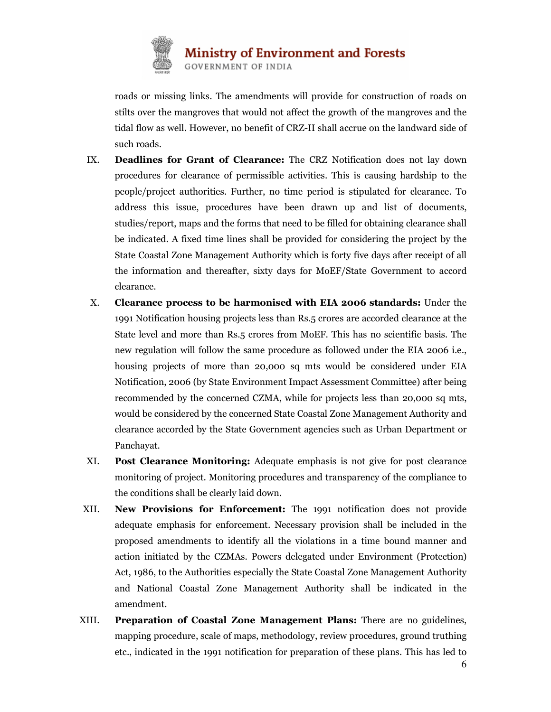

roads or missing links. The amendments will provide for construction of roads on stilts over the mangroves that would not affect the growth of the mangroves and the tidal flow as well. However, no benefit of CRZ-II shall accrue on the landward side of such roads.

- IX. Deadlines for Grant of Clearance: The CRZ Notification does not lay down procedures for clearance of permissible activities. This is causing hardship to the people/project authorities. Further, no time period is stipulated for clearance. To address this issue, procedures have been drawn up and list of documents, studies/report, maps and the forms that need to be filled for obtaining clearance shall be indicated. A fixed time lines shall be provided for considering the project by the State Coastal Zone Management Authority which is forty five days after receipt of all the information and thereafter, sixty days for MoEF/State Government to accord clearance.
- X. Clearance process to be harmonised with EIA 2006 standards: Under the 1991 Notification housing projects less than Rs.5 crores are accorded clearance at the State level and more than Rs.5 crores from MoEF. This has no scientific basis. The new regulation will follow the same procedure as followed under the EIA 2006 i.e., housing projects of more than 20,000 sq mts would be considered under EIA Notification, 2006 (by State Environment Impact Assessment Committee) after being recommended by the concerned CZMA, while for projects less than 20,000 sq mts, would be considered by the concerned State Coastal Zone Management Authority and clearance accorded by the State Government agencies such as Urban Department or Panchayat.
- XI. Post Clearance Monitoring: Adequate emphasis is not give for post clearance monitoring of project. Monitoring procedures and transparency of the compliance to the conditions shall be clearly laid down.
- XII. New Provisions for Enforcement: The 1991 notification does not provide adequate emphasis for enforcement. Necessary provision shall be included in the proposed amendments to identify all the violations in a time bound manner and action initiated by the CZMAs. Powers delegated under Environment (Protection) Act, 1986, to the Authorities especially the State Coastal Zone Management Authority and National Coastal Zone Management Authority shall be indicated in the amendment.
- XIII. Preparation of Coastal Zone Management Plans: There are no guidelines, mapping procedure, scale of maps, methodology, review procedures, ground truthing etc., indicated in the 1991 notification for preparation of these plans. This has led to